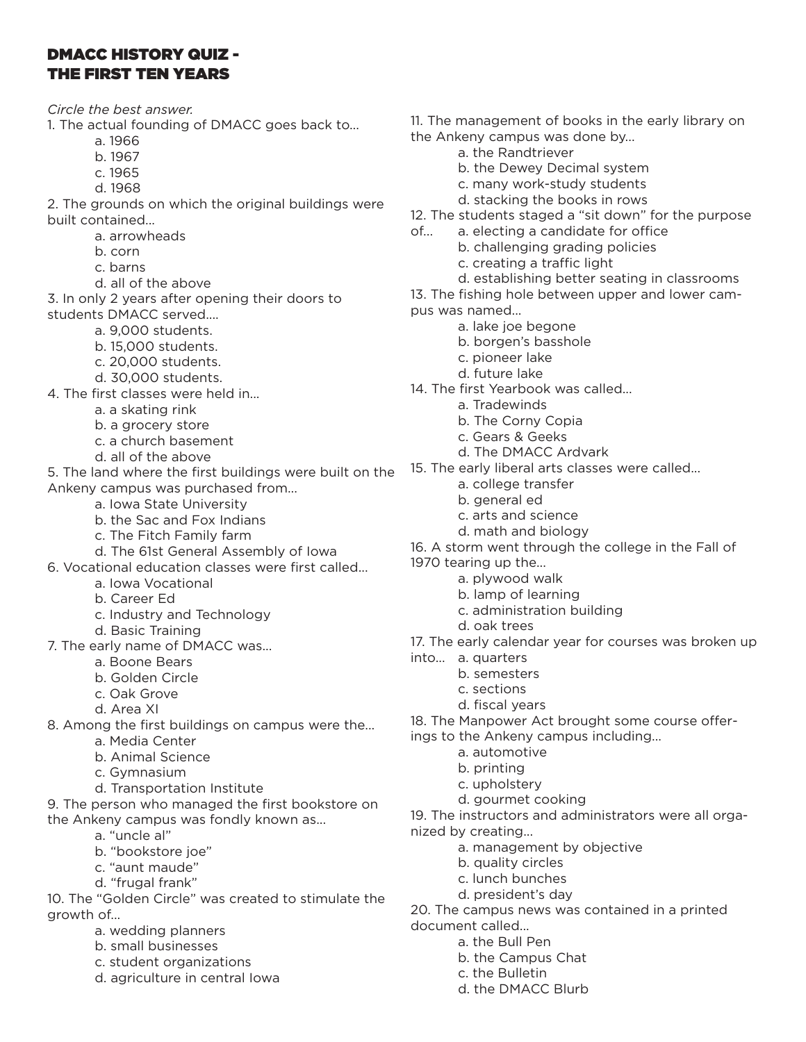# DMACC HISTORY QUIZ - THE FIRST TEN YEARS

*Circle the best answer.*

- 1. The actual founding of DMACC goes back to...
	- a. 1966
	- b. 1967
	- c. 1965
	- d. 1968

2. The grounds on which the original buildings were built contained...

- a. arrowheads
- b. corn
- c. barns
- d. all of the above
- 3. In only 2 years after opening their doors to students DMACC served....
	- a. 9,000 students.
	- b. 15,000 students.
	- c. 20,000 students.
	- d. 30,000 students.
- 4. The first classes were held in...
	- a. a skating rink
	- b. a grocery store
	- c. a church basement
	- d. all of the above
- 5. The land where the first buildings were built on the Ankeny campus was purchased from...
	- a. Iowa State University
	- b. the Sac and Fox Indians
	- c. The Fitch Family farm
	- d. The 61st General Assembly of Iowa
- 6. Vocational education classes were first called...
	- a. Iowa Vocational
	- b. Career Ed
	- c. Industry and Technology
	- d. Basic Training
- 7. The early name of DMACC was...
	- a. Boone Bears
	- b. Golden Circle
	- c. Oak Grove
	- d. Area XI
- 8. Among the first buildings on campus were the...
	- a. Media Center
	- b. Animal Science
	- c. Gymnasium
	- d. Transportation Institute
- 9. The person who managed the first bookstore on the Ankeny campus was fondly known as...
	- a. "uncle al"
	- b. "bookstore joe"
	- c. "aunt maude"
	- d. "frugal frank"

10. The "Golden Circle" was created to stimulate the growth of...

- a. wedding planners
- b. small businesses
- c. student organizations
- d. agriculture in central Iowa
- 11. The management of books in the early library on the Ankeny campus was done by...
	- a. the Randtriever
	- b. the Dewey Decimal system
	- c. many work-study students
	- d. stacking the books in rows
- 12. The students staged a "sit down" for the purpose
- of... a. electing a candidate for office
	- b. challenging grading policies
		- c. creating a traffic light
		- d. establishing better seating in classrooms
- 13. The fishing hole between upper and lower campus was named...
	- a. lake joe begone
	- b. borgen's basshole
	- c. pioneer lake
	- d. future lake
- 14. The first Yearbook was called...
	- a. Tradewinds
		- b. The Corny Copia
		- c. Gears & Geeks
		- d. The DMACC Ardvark
- 15. The early liberal arts classes were called...
	- a. college transfer
	- b. general ed
	- c. arts and science
	- d. math and biology
- 16. A storm went through the college in the Fall of
- 1970 tearing up the...
	- a. plywood walk
	- b. lamp of learning
	- c. administration building
	- d. oak trees
- 17. The early calendar year for courses was broken up
- into... a. quarters
	- b. semesters
	- c. sections
	- d. fiscal years
- 18. The Manpower Act brought some course offer-
- ings to the Ankeny campus including...
	- a. automotive
	- b. printing
	- c. upholstery
	- d. gourmet cooking
- 19. The instructors and administrators were all organized by creating...
	- a. management by objective
	- b. quality circles
	- c. lunch bunches

a. the Bull Pen b. the Campus Chat c. the Bulletin

d. president's day

d. the DMACC Blurb

20. The campus news was contained in a printed document called...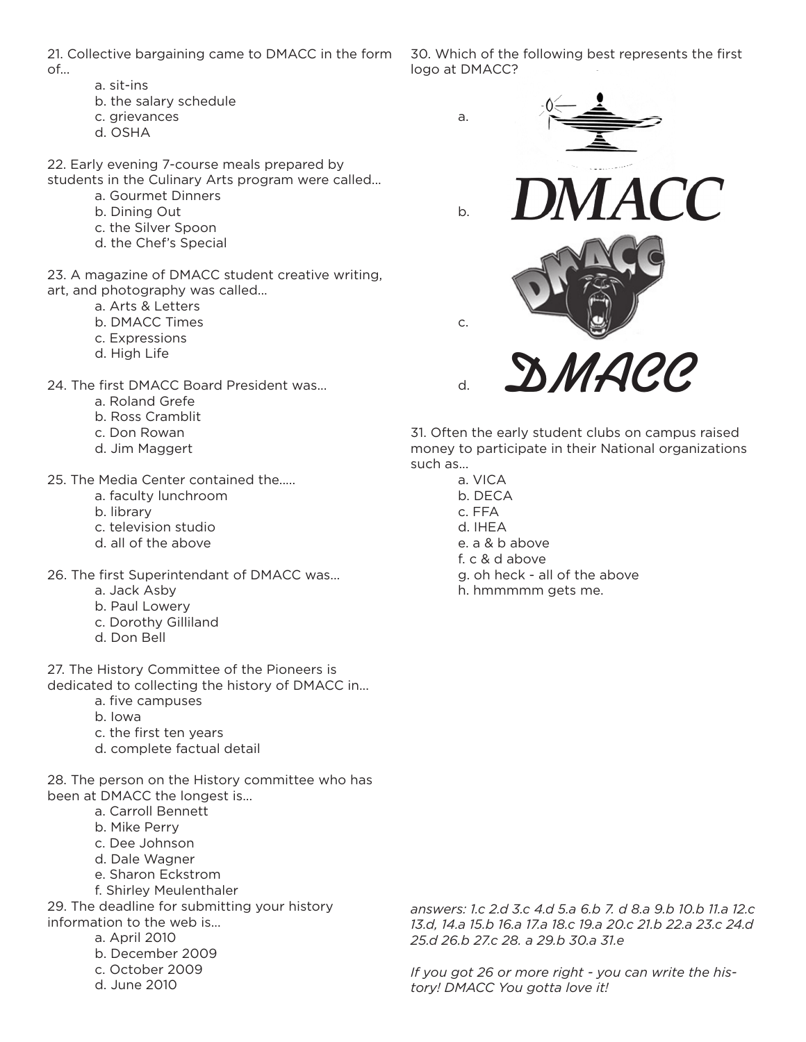21. Collective bargaining came to DMACC in the form of...

- a. sit-ins
- b. the salary schedule
- c. grievances
- d. OSHA

22. Early evening 7-course meals prepared by students in the Culinary Arts program were called...

- a. Gourmet Dinners
- b. Dining Out
- c. the Silver Spoon
- d. the Chef's Special

23. A magazine of DMACC student creative writing, art, and photography was called...

- a. Arts & Letters
- b. DMACC Times
- c. Expressions
- d. High Life
- 24. The first DMACC Board President was...
	- a. Roland Grefe
	- b. Ross Cramblit
	- c. Don Rowan
	- d. Jim Maggert
- 25. The Media Center contained the.....
	- a. faculty lunchroom
	- b. library
	- c. television studio
	- d. all of the above
- 26. The first Superintendant of DMACC was...
	- a. Jack Asby
	- b. Paul Lowery
	- c. Dorothy Gilliland
	- d. Don Bell

27. The History Committee of the Pioneers is dedicated to collecting the history of DMACC in...

- a. five campuses
- b. Iowa
- c. the first ten years
- d. complete factual detail

28. The person on the History committee who has been at DMACC the longest is...

- a. Carroll Bennett
- b. Mike Perry
- c. Dee Johnson
- d. Dale Wagner
- e. Sharon Eckstrom
- f. Shirley Meulenthaler

29. The deadline for submitting your history information to the web is...

- a. April 2010
- b. December 2009
- c. October 2009
- d. June 2010

30. Which of the following best represents the first logo at DMACC?



31. Often the early student clubs on campus raised money to participate in their National organizations such as...

a. VICA b. DECA c. FFA d. IHEA e. a & b above f. c & d above g. oh heck - all of the above h. hmmmmm gets me.

*answers: 1.c 2.d 3.c 4.d 5.a 6.b 7. d 8.a 9.b 10.b 11.a 12.c 13.d, 14.a 15.b 16.a 17.a 18.c 19.a 20.c 21.b 22.a 23.c 24.d 25.d 26.b 27.c 28. a 29.b 30.a 31.e*

*If you got 26 or more right - you can write the history! DMACC You gotta love it!*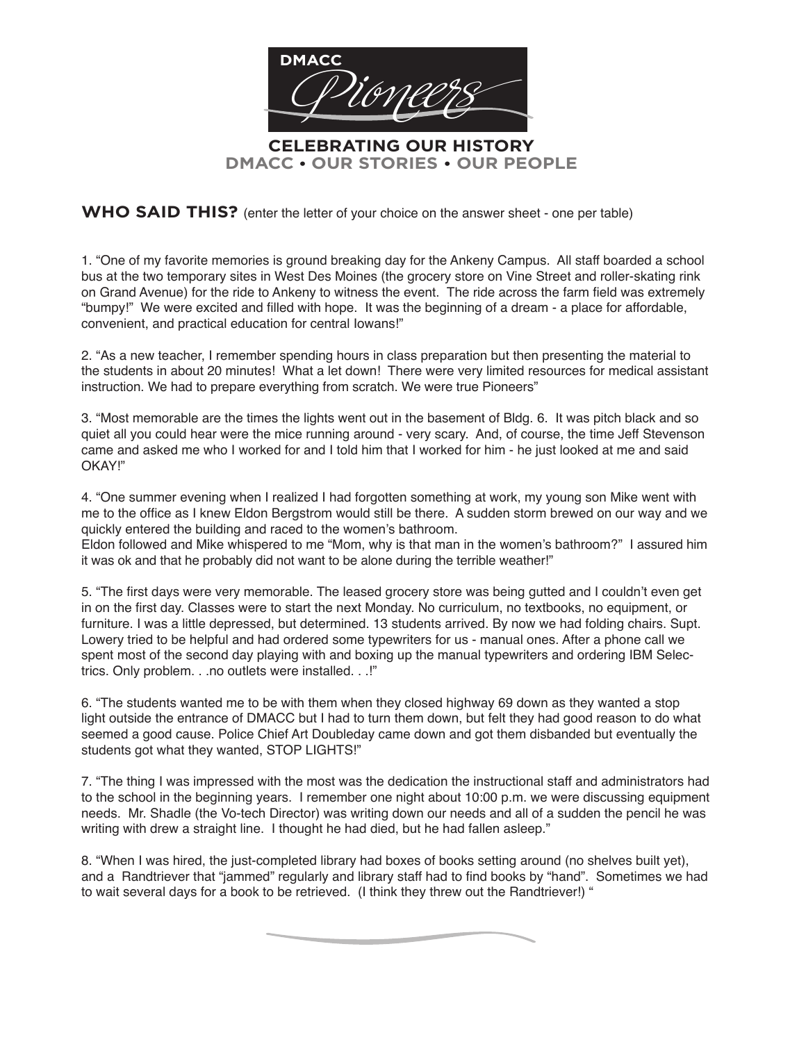

**DMACC • OUR STORIES • OUR PEOPLE**

**WHO SAID THIS?** (enter the letter of your choice on the answer sheet - one per table)

1. "One of my favorite memories is ground breaking day for the Ankeny Campus. All staff boarded a school bus at the two temporary sites in West Des Moines (the grocery store on Vine Street and roller-skating rink on Grand Avenue) for the ride to Ankeny to witness the event. The ride across the farm field was extremely "bumpy!" We were excited and filled with hope. It was the beginning of a dream - a place for affordable, convenient, and practical education for central Iowans!"

2. "As a new teacher, I remember spending hours in class preparation but then presenting the material to the students in about 20 minutes! What a let down! There were very limited resources for medical assistant instruction. We had to prepare everything from scratch. We were true Pioneers"

3. "Most memorable are the times the lights went out in the basement of Bldg. 6. It was pitch black and so quiet all you could hear were the mice running around - very scary. And, of course, the time Jeff Stevenson came and asked me who I worked for and I told him that I worked for him - he just looked at me and said OKAY!"

4. "One summer evening when I realized I had forgotten something at work, my young son Mike went with me to the office as I knew Eldon Bergstrom would still be there. A sudden storm brewed on our way and we quickly entered the building and raced to the women's bathroom.

Eldon followed and Mike whispered to me "Mom, why is that man in the women's bathroom?" I assured him it was ok and that he probably did not want to be alone during the terrible weather!"

5. "The first days were very memorable. The leased grocery store was being gutted and I couldn't even get in on the first day. Classes were to start the next Monday. No curriculum, no textbooks, no equipment, or furniture. I was a little depressed, but determined. 13 students arrived. By now we had folding chairs. Supt. Lowery tried to be helpful and had ordered some typewriters for us - manual ones. After a phone call we spent most of the second day playing with and boxing up the manual typewriters and ordering IBM Selectrics. Only problem. . .no outlets were installed. . .!"

6. "The students wanted me to be with them when they closed highway 69 down as they wanted a stop light outside the entrance of DMACC but I had to turn them down, but felt they had good reason to do what seemed a good cause. Police Chief Art Doubleday came down and got them disbanded but eventually the students got what they wanted, STOP LIGHTS!"

7. "The thing I was impressed with the most was the dedication the instructional staff and administrators had to the school in the beginning years. I remember one night about 10:00 p.m. we were discussing equipment needs. Mr. Shadle (the Vo-tech Director) was writing down our needs and all of a sudden the pencil he was writing with drew a straight line. I thought he had died, but he had fallen asleep."

8. "When I was hired, the just-completed library had boxes of books setting around (no shelves built yet), and a Randtriever that "jammed" regularly and library staff had to find books by "hand". Sometimes we had to wait several days for a book to be retrieved. (I think they threw out the Randtriever!) "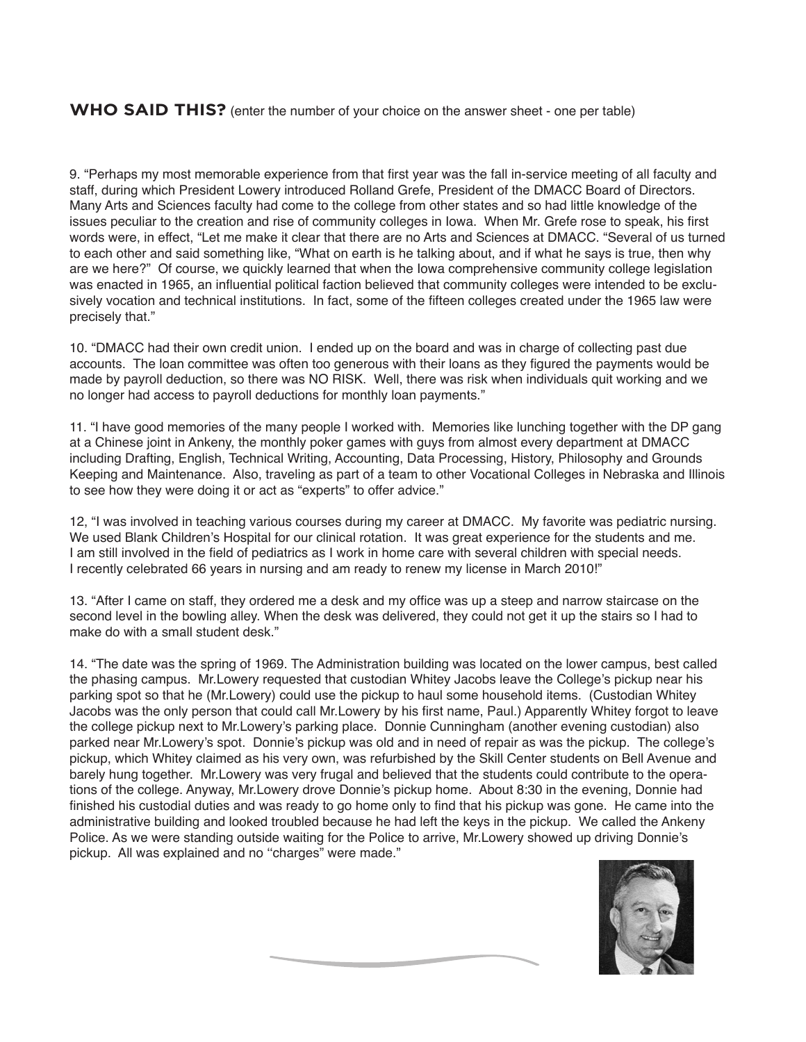#### **WHO SAID THIS?** (enter the number of your choice on the answer sheet - one per table)

9. "Perhaps my most memorable experience from that first year was the fall in-service meeting of all faculty and staff, during which President Lowery introduced Rolland Grefe, President of the DMACC Board of Directors. Many Arts and Sciences faculty had come to the college from other states and so had little knowledge of the issues peculiar to the creation and rise of community colleges in Iowa. When Mr. Grefe rose to speak, his first words were, in effect, "Let me make it clear that there are no Arts and Sciences at DMACC. "Several of us turned to each other and said something like, "What on earth is he talking about, and if what he says is true, then why are we here?" Of course, we quickly learned that when the Iowa comprehensive community college legislation was enacted in 1965, an influential political faction believed that community colleges were intended to be exclusively vocation and technical institutions. In fact, some of the fifteen colleges created under the 1965 law were precisely that."

10. "DMACC had their own credit union. I ended up on the board and was in charge of collecting past due accounts. The loan committee was often too generous with their loans as they figured the payments would be made by payroll deduction, so there was NO RISK. Well, there was risk when individuals quit working and we no longer had access to payroll deductions for monthly loan payments."

11. "I have good memories of the many people I worked with. Memories like lunching together with the DP gang at a Chinese joint in Ankeny, the monthly poker games with guys from almost every department at DMACC including Drafting, English, Technical Writing, Accounting, Data Processing, History, Philosophy and Grounds Keeping and Maintenance. Also, traveling as part of a team to other Vocational Colleges in Nebraska and Illinois to see how they were doing it or act as "experts" to offer advice."

12, "I was involved in teaching various courses during my career at DMACC. My favorite was pediatric nursing. We used Blank Children's Hospital for our clinical rotation. It was great experience for the students and me. I am still involved in the field of pediatrics as I work in home care with several children with special needs. I recently celebrated 66 years in nursing and am ready to renew my license in March 2010!"

13. "After I came on staff, they ordered me a desk and my office was up a steep and narrow staircase on the second level in the bowling alley. When the desk was delivered, they could not get it up the stairs so I had to make do with a small student desk."

14. "The date was the spring of 1969. The Administration building was located on the lower campus, best called the phasing campus. Mr.Lowery requested that custodian Whitey Jacobs leave the College's pickup near his parking spot so that he (Mr.Lowery) could use the pickup to haul some household items. (Custodian Whitey Jacobs was the only person that could call Mr.Lowery by his first name, Paul.) Apparently Whitey forgot to leave the college pickup next to Mr.Lowery's parking place. Donnie Cunningham (another evening custodian) also parked near Mr.Lowery's spot. Donnie's pickup was old and in need of repair as was the pickup. The college's pickup, which Whitey claimed as his very own, was refurbished by the Skill Center students on Bell Avenue and barely hung together. Mr.Lowery was very frugal and believed that the students could contribute to the operations of the college. Anyway, Mr.Lowery drove Donnie's pickup home. About 8:30 in the evening, Donnie had finished his custodial duties and was ready to go home only to find that his pickup was gone. He came into the administrative building and looked troubled because he had left the keys in the pickup. We called the Ankeny Police. As we were standing outside waiting for the Police to arrive, Mr.Lowery showed up driving Donnie's pickup. All was explained and no ''charges" were made."

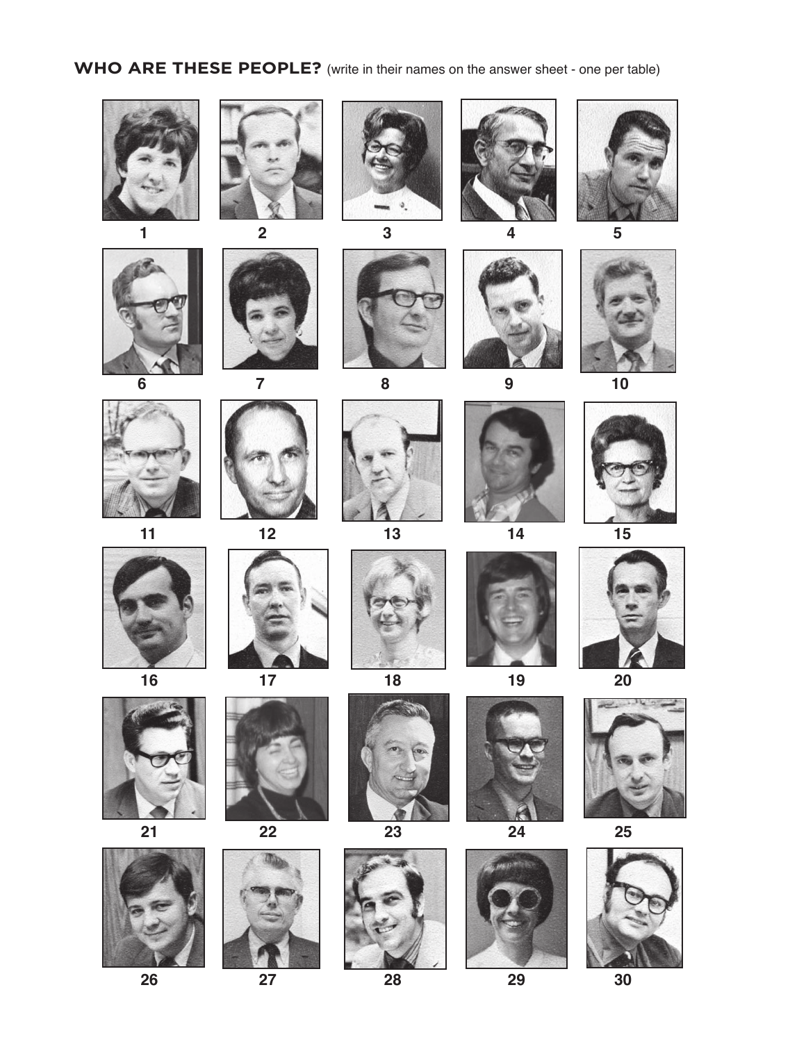# **WHO ARE THESE PEOPLE?** (write in their names on the answer sheet - one per table)

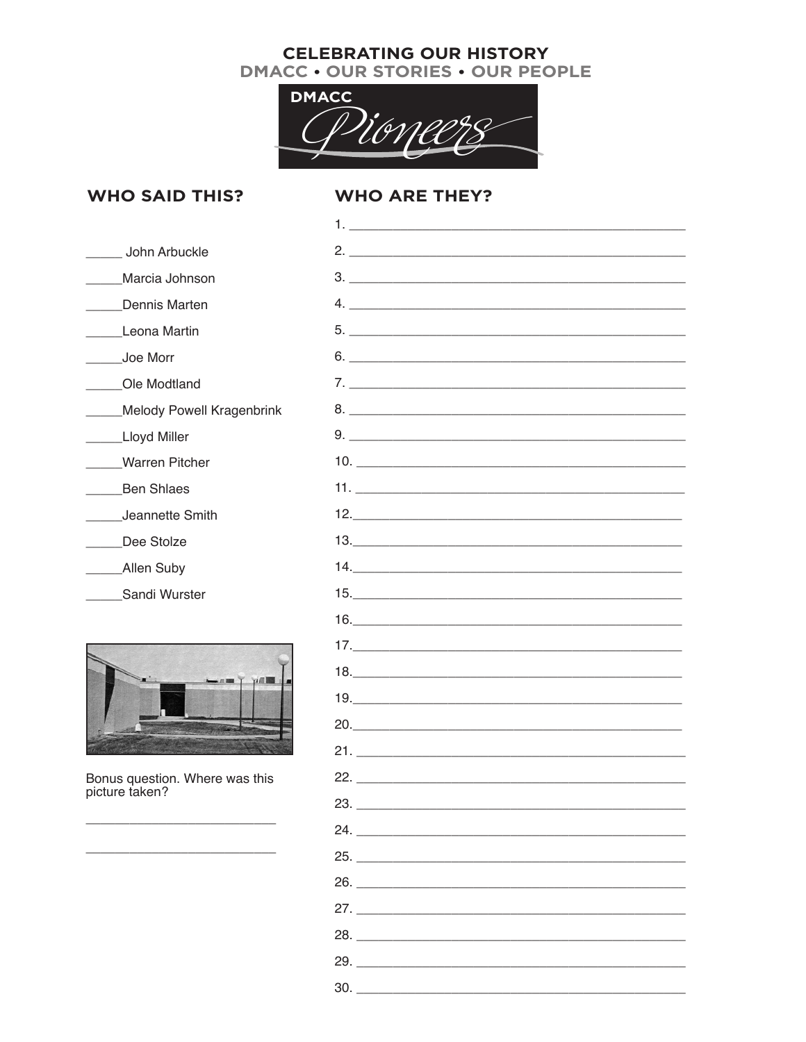### **CELEBRATING OUR HISTORY** DMACC . OUR STORIES . OUR PEOPLE



# **WHO SAID THIS?**

# **WHO ARE THEY?**

| John Arbuckle                                    | 2.                            |
|--------------------------------------------------|-------------------------------|
| Marcia Johnson                                   |                               |
| Dennis Marten                                    |                               |
| Leona Martin                                     |                               |
| Joe Morr                                         | $6.$ $\overline{\phantom{a}}$ |
| Ole Modtland                                     |                               |
| <b>Melody Powell Kragenbrink</b>                 |                               |
| Lloyd Miller                                     | 9.                            |
| <b>Warren Pitcher</b>                            |                               |
| <b>Ben Shlaes</b>                                |                               |
| Jeannette Smith                                  |                               |
| Dee Stolze                                       |                               |
| Allen Suby                                       |                               |
| Sandi Wurster                                    |                               |
|                                                  | 16.                           |
|                                                  | 17.                           |
|                                                  | 18.                           |
|                                                  |                               |
|                                                  |                               |
|                                                  |                               |
| Bonus question. Where was this<br>picture taken? |                               |
|                                                  | 23.                           |
|                                                  | 24.                           |
|                                                  | 25.                           |
|                                                  | 26.                           |
|                                                  | 27.                           |
|                                                  | 28.                           |
|                                                  |                               |
|                                                  | 30.                           |